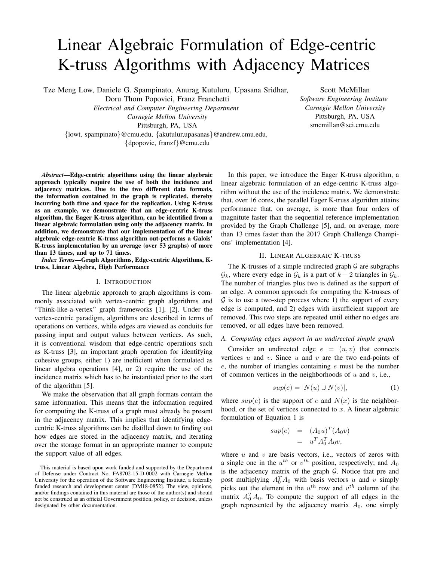# Linear Algebraic Formulation of Edge-centric K-truss Algorithms with Adjacency Matrices

Tze Meng Low, Daniele G. Spampinato, Anurag Kutuluru, Upasana Sridhar,

Doru Thom Popovici, Franz Franchetti

*Electrical and Computer Engineering Department Carnegie Mellon University*

Pittsburgh, PA, USA

{lowt, spampinato}@cmu.edu, {akutulur,upasanas}@andrew.cmu.edu, {dpopovic, franzf}@cmu.edu

Scott McMillan *Software Engineering Institute Carnegie Mellon University* Pittsburgh, PA, USA smcmillan@sei.cmu.edu

*Abstract*—Edge-centric algorithms using the linear algebraic approach typically require the use of both the incidence and adjacency matrices. Due to the two different data formats, the information contained in the graph is replicated, thereby incurring both time and space for the replication. Using K-truss as an example, we demonstrate that an edge-centric K-truss algorithm, the Eager K-truss algorithm, can be identified from a linear algebraic formulation using only the adjacency matrix. In addition, we demonstrate that our implementation of the linear algebraic edge-centric K-truss algorithm out-performs a Galois' K-truss implementation by an average (over 53 graphs) of more than 13 times, and up to 71 times.

*Index Terms*—Graph Algorithms, Edge-centric Algorithms, Ktruss, Linear Algebra, High Performance

## I. INTRODUCTION

The linear algebraic approach to graph algorithms is commonly associated with vertex-centric graph algorithms and "Think-like-a-vertex" graph frameworks [1], [2]. Under the vertex-centric paradigm, algorithms are described in terms of operations on vertices, while edges are viewed as conduits for passing input and output values between vertices. As such, it is conventional wisdom that edge-centric operations such as K-truss [3], an important graph operation for identifying cohesive groups, either 1) are inefficient when formulated as linear algebra operations [4], or 2) require the use of the incidence matrix which has to be instantiated prior to the start of the algorithm [5].

We make the observation that all graph formats contain the same information. This means that the information required for computing the K-truss of a graph must already be present in the adjacency matrix. This implies that identifying edgecentric K-truss algorithms can be distilled down to finding out how edges are stored in the adjacency matrix, and iterating over the storage format in an appropriate manner to compute the support value of all edges.

This material is based upon work funded and supported by the Department of Defense under Contract No. FA8702-15-D-0002 with Carnegie Mellon University for the operation of the Software Engineering Institute, a federally funded research and development center [DM18-0852]. The view, opinions, and/or findings contained in this material are those of the author(s) and should not be construed as an official Government position, policy, or decision, unless designated by other documentation.

In this paper, we introduce the Eager K-truss algorithm, a linear algebraic formulation of an edge-centric K-truss algorithm without the use of the incidence matrix. We demonstrate that, over 16 cores, the parallel Eager K-truss algorithm attains performance that, on average, is more than four orders of magnitute faster than the sequential reference implementation provided by the Graph Challenge [5], and, on average, more than 13 times faster than the 2017 Graph Challenge Champions' implementation [4].

# II. LINEAR ALGEBRAIC K-TRUSS

The K-trusses of a simple undirected graph  $G$  are subgraphs  $\mathcal{G}_k$ , where every edge in  $\mathcal{G}_k$  is a part of  $k-2$  triangles in  $\mathcal{G}_k$ . The number of triangles plus two is defined as the support of an edge. A common approach for computing the K-trusses of  $\mathcal G$  is to use a two-step process where 1) the support of every edge is computed, and 2) edges with insufficient support are removed. This two steps are repeated until either no edges are removed, or all edges have been removed.

# *A. Computing edges support in an undirected simple graph*

Consider an undirected edge  $e = (u, v)$  that connects vertices  $u$  and  $v$ . Since  $u$  and  $v$  are the two end-points of  $e$ , the number of triangles containing  $e$  must be the number of common vertices in the neighborhoods of  $u$  and  $v$ , i.e.,

$$
sup(e) = |N(u) \cup N(v)|,\tag{1}
$$

where  $sup(e)$  is the support of e and  $N(x)$  is the neighborhood, or the set of vertices connected to  $x$ . A linear algebraic formulation of Equation 1 is

$$
sup(e) = (A_0 u)^T (A_0 v)
$$
  
= 
$$
u^T A_0^T A_0 v,
$$

where  $u$  and  $v$  are basis vectors, i.e., vectors of zeros with a single one in the  $u^{th}$  or  $v^{th}$  position, respectively; and  $A_0$ is the adjacency matrix of the graph  $G$ . Notice that pre and post multiplying  $A_0^T A_0$  with basis vectors u and v simply picks out the element in the  $u^{th}$  row and  $v^{th}$  column of the matrix  $A_0^T A_0$ . To compute the support of all edges in the graph represented by the adjacency matrix  $A_0$ , one simply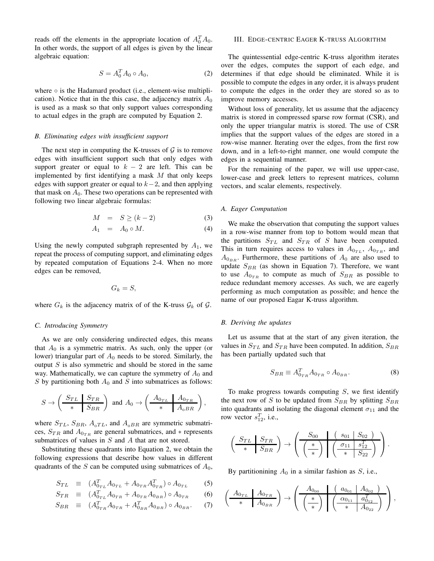reads off the elements in the appropriate location of  $A_0^T A_0$ . In other words, the support of all edges is given by the linear algebraic equation:

$$
S = A_0^T A_0 \circ A_0,\tag{2}
$$

where  $\circ$  is the Hadamard product (i.e., element-wise multiplication). Notice that in the this case, the adjacency matrix  $A_0$ is used as a mask so that only support values corresponding to actual edges in the graph are computed by Equation 2.

# *B. Eliminating edges with insufficient support*

The next step in computing the K-trusses of  $G$  is to remove edges with insufficient support such that only edges with support greater or equal to  $k - 2$  are left. This can be implemented by first identifying a mask  $M$  that only keeps edges with support greater or equal to  $k-2$ , and then applying that mask on  $A_0$ . These two operations can be represented with following two linear algebraic formulas:

$$
M = S \ge (k-2) \tag{3}
$$

$$
A_1 = A_0 \circ M. \tag{4}
$$

Using the newly computed subgraph represented by  $A_1$ , we repeat the process of computing support, and eliminating edges by repeated computation of Equations 2-4. When no more edges can be removed,

$$
G_k = S,
$$

where  $G_k$  is the adjacency matrix of of the K-truss  $\mathcal{G}_k$  of  $\mathcal{G}$ .

# *C. Introducing Symmetry*

As we are only considering undirected edges, this means that  $A_0$  is a symmetric matrix. As such, only the upper (or lower) triangular part of  $A_0$  needs to be stored. Similarly, the output  $S$  is also symmetric and should be stored in the same way. Mathematically, we can capture the symmetry of  $A_0$  and  $S$  by partitioning both  $A_0$  and  $S$  into submatrices as follows:

$$
S \to \left(\begin{array}{c|c} S_{TL} & S_{TR} \\ \hline \ast & S_{BR} \end{array}\right) \text{ and } A_0 \to \left(\begin{array}{c|c} A_{0_{TL}} & A_{0_{TR}} \\ \hline \ast & A_{0BR} \end{array}\right),
$$

where  $S_{TL}$ ,  $S_{BR}$ ,  $A_{0TL}$ , and  $A_{0BR}$  are symmetric submatrices,  $S_{TR}$  and  $A_{0TR}$  are general submatrices, and  $*$  represents submatrices of values in  $S$  and  $A$  that are not stored.

Substituting these quadrants into Equation 2, we obtain the following expressions that describe how values in different quadrants of the S can be computed using submatrices of  $A_0$ ,

$$
S_{TL} \equiv (A_{0_{TL}}^T A_{0_{TL}} + A_{0_{TR}} A_{0_{TR}}^T) \circ A_{0_{TL}} \tag{5}
$$

$$
S_{TR} \equiv (A_{0_{TL}}^T A_{0_{TR}} + A_{0_{TR}} A_{0_{BR}}) \circ A_{0_{TR}} \tag{6}
$$

$$
S_{BR} \equiv (A_{0_{TR}}^T A_{0_{TR}} + A_{0_{BR}}^T A_{0_{BR}}) \circ A_{0_{BR}}. \tag{7}
$$

## III. EDGE-CENTRIC EAGER K-TRUSS ALGORITHM

The quintessential edge-centric K-truss algorithm iterates over the edges, computes the support of each edge, and determines if that edge should be eliminated. While it is possible to compute the edges in any order, it is always prudent to compute the edges in the order they are stored so as to improve memory accesses.

Without loss of generality, let us assume that the adjacency matrix is stored in compressed sparse row format (CSR), and only the upper triangular matrix is stored. The use of CSR implies that the support values of the edges are stored in a row-wise manner. Iterating over the edges, from the first row down, and in a left-to-right manner, one would compute the edges in a sequential manner.

For the remaining of the paper, we will use upper-case, lower-case and greek letters to represent matrices, column vectors, and scalar elements, respectively.

## *A. Eager Computation*

We make the observation that computing the support values in a row-wise manner from top to bottom would mean that the partitions  $S_{TL}$  and  $S_{TR}$  of S have been computed. This in turn requires access to values in  $A_{0_{TL}}$ ,  $A_{0_{TR}}$ , and  $A_{0_{BB}}$ . Furthermore, these partitions of  $A_0$  are also used to update  $S_{BR}$  (as shown in Equation 7). Therefore, we want to use  $A_{0_{TR}}$  to compute as much of  $S_{BR}$  as possible to reduce redundant memory accesses. As such, we are eagerly performing as much computation as possible; and hence the name of our proposed Eagar K-truss algorithm.

## *B. Deriving the updates*

Let us assume that at the start of any given iteration, the values in  $S_{TL}$  and  $S_{TR}$  have been computed. In addition,  $S_{BR}$ has been partially updated such that

$$
S_{BR} \equiv A_{0_{TR}}^T A_{0_{TR}} \circ A_{0_{BR}}.\tag{8}
$$

To make progress towards computing  $S$ , we first identify the next row of S to be updated from  $S_{BR}$  by splitting  $S_{BR}$ into quadrants and isolating the diagonal element  $\sigma_{11}$  and the row vector  $s_{12}^T$ , i.e.,

$$
\left(\begin{array}{c|c} S_{TL} & S_{TR} \\ \hline \ast & S_{BR} \end{array}\right) \rightarrow \left(\begin{array}{c|c} S_{00} & & (s_{01} & S_{02}) \\ \hline \begin{pmatrix} \ast \\ \ast \end{pmatrix} & \begin{pmatrix} \sigma_{11} & s_{12}^T \\ \hline \ast & S_{22} \end{pmatrix} \end{array}\right).
$$

By partitionining  $A_0$  in a similar fashion as  $S$ , i.e.,

$$
\left(\begin{array}{c|c} A_{0_{TL}} & A_{0_{TR}} \\ \hline \end{array}\right) \rightarrow \left(\begin{array}{c|c} A_{0_{00}} & \left(\begin{array}{c|c} a_{0_{01}} & A_{0_{02}} \end{array}\right) \\ \hline \left(\begin{array}{c|c} \ast \\ \hline \end{array}\right) & \left(\begin{array}{c|c} \alpha_{0_{11}} & a_{0_{12}}^T \\ \hline \end{array}\right) \\ \hline \end{array}\right),
$$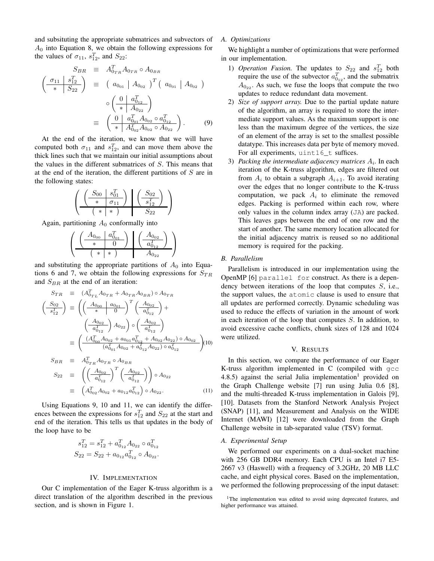and subsituting the appropriate submatrices and subvectors of  $A_0$  into Equation 8, we obtain the following expressions for the values of  $\sigma_{11}$ ,  $s_{12}^T$ , and  $S_{22}$ :

$$
S_{BR} \equiv A_{0_{TR}}^T A_{0_{TR}} \circ A_{0_{BR}}
$$
  
\n
$$
\left(\frac{\sigma_{11} | s_{12}^T}{* | S_{22}}\right) \equiv \left(a_{0_{01}} | A_{0_{02}}\right)^T \left(a_{0_{01}} | A_{0_{02}}\right)
$$
  
\n
$$
\circ \left(\frac{0 | a_{0_{12}}^T}{* | A_{0_{22}}}\right)
$$
  
\n
$$
\equiv \left(\frac{0 | a_{0_{01}}^T A_{0_{02}} \circ a_{0_{12}}^T}{* | A_{0_{02}}^T A_{0_{02}} \circ A_{0_{22}}}\right).
$$
 (9)

At the end of the iteration, we know that we will have computed both  $\sigma_{11}$  and  $s_{12}^T$ , and can move them above the thick lines such that we maintain our initial assumptions about the values in the different submatrices of S. This means that at the end of the iteration, the different partitions of S are in the following states:

$$
\left(\begin{array}{c|c}\nS_{00} & s_{01}^T \\
\hline\n\end{array}\right) \quad \begin{pmatrix}\nS_{02} \\
\hline\ns_{12}^T\n\end{pmatrix} \\
\hline\n\begin{pmatrix}\n\ast & * \\
\end{pmatrix} \quad\nS_{22}\n\end{array}\right)
$$

Again, partitioning  $A_0$  conformally into

$$
\left(\begin{array}{c|c}\n\left(\begin{array}{c|c}\nA_{0_{00}} & a_{0_{01}}^T \\
\hline\n\end{array}\right) & \left(\begin{array}{c|c}\nA_{0_{02}} \\
\hline\na_{0_{12}}^T\n\end{array}\right) \\
\hline\n\left(\begin{array}{c|c}\n\end{array}\right) & A_{0_{22}}\n\end{array}\right)
$$

and substituting the appropriate partitions of  $A_0$  into Equations 6 and 7, we obtain the following expressions for  $S_{TR}$ and  $S_{BR}$  at the end of an iteration:

$$
S_{TR} \equiv (A_{0_{TL}}^T A_{0_{TR}} + A_{0_{TR}} A_{0_{BR}}) \circ A_{0_{TR}}
$$
  
\n
$$
\left(\frac{S_{02}}{s_{12}^T}\right) \equiv \left(\left(\frac{A_{0_{00}} - a_{0_{01}}}{*} \right)^T \left(\frac{A_{0_{02}}}{a_{0_{12}}^T}\right) + \left(\frac{A_{0_{02}}}{a_{0_{12}}^T}\right) A_{0_{22}}\right) \circ \left(\frac{A_{0_{02}}}{a_{0_{12}}^T}\right)
$$
  
\n
$$
\equiv \left(\frac{(A_{0_{00}}^T A_{0_{02}} + a_{0_{01}} a_{0_{12}}^T + A_{0_{02}} A_{0_{22}}) \circ A_{0_{02}}}{(a_{0_{01}}^T A_{0_{02}} + a_{0_{12}}^T A_{0_{22}}) \circ a_{0_{12}}^T}\right)
$$
  
\n
$$
S_{BR} \equiv A_{0_{TR}}^T A_{0_{TR}} \circ A_{0_{BR}}
$$
  
\n
$$
S_{22} \equiv \left(\left(\frac{A_{0_{02}}}{*} \right)^T \left(\frac{A_{0_{02}}}{*} \right)\right) \circ A_{0_{22}}
$$

$$
S_{22} \equiv \left( \left( \frac{-\frac{302}{a_{012}^T}}{a_{012}^T} \right) \left( \frac{-\frac{302}{a_{012}^T}}{a_{012}^T} \right) \right) \circ A_{0_{22}}
$$
  

$$
\equiv \left( A_{0_{02}}^T A_{0_{02}} + a_{0_{12}} a_{0_{12}}^T \right) \circ A_{0_{22}}.
$$
 (11)

Using Equations 9, 10 and 11, we can identify the differences between the expressions for  $s_{12}^T$  and  $S_{22}$  at the start and end of the iteration. This tells us that updates in the body of the loop have to be

$$
\begin{aligned} s_{12}^T &= s_{12}^T + a_{0_{12}}^T A_{0_{22}} \circ a_{0_{12}}^T \\ S_{22} &= S_{22} + a_{0_{12}} a_{0_{12}}^T \circ A_{0_{22}}. \end{aligned}
$$

## IV. IMPLEMENTATION

Our C implementation of the Eager K-truss algorithm is a direct translation of the algorithm described in the previous section, and is shown in Figure 1.

## *A. Optimizations*

We highlight a number of optimizations that were performed in our implementation.

- 1) *Operation Fusion*. The updates to  $S_{22}$  and  $s_{12}^T$  both require the use of the subvector  $a_{0_{12}}^T$ , and the submatrix  $A_{0_{22}}$ . As such, we fuse the loops that compute the two updates to reduce redundant data movement.
- 2) *Size of support array.* Due to the partial update nature of the algorithm, an array is required to store the intermediate support values. As the maximum support is one less than the maximum degree of the vertices, the size of an element of the array is set to the smallest possible datatype. This increases data per byte of memory moved. For all experiments, uint16 t suffices.
- 3) Packing the intermediate adjacency matrices  $A_i$ . In each iteration of the K-truss algorithm, edges are filtered out from  $A_i$  to obtain a subgraph  $A_{i+1}$ . To avoid iterating over the edges that no longer contribute to the K-truss computation, we pack  $A_i$  to eliminate the removed edges. Packing is performed within each row, where only values in the column index array (JA) are packed. This leaves gaps between the end of one row and the start of another. The same memory location allocated for the initial adjacency matrix is reused so no additional memory is required for the packing.

# *B. Parallelism*

Parallelism is introduced in our implementation using the OpenMP [6] parallel for construct. As there is a dependency between iterations of the loop that computes S, i.e., the support values, the atomic clause is used to ensure that all updates are performed correctly. Dynamic scheduling was used to reduce the effects of variation in the amount of work in each iteration of the loop that computes  $S$ . In addition, to avoid excessive cache conflicts, chunk sizes of 128 and 1024 were utilized.

## V. RESULTS

In this section, we compare the performance of our Eager K-truss algorithm implemented in C (compiled with gcc 4.8.5) against the serial Julia implementation<sup>1</sup> provided on the Graph Challenge website [7] run using Julia 0.6 [8], and the multi-threaded K-truss implementation in Galois [9], [10]. Datasets from the Stanford Network Analysis Project (SNAP) [11], and Measurement and Analysis on the WIDE Internet (MAWI) [12] were downloaded from the Graph Challenge website in tab-separated value (TSV) format.

#### *A. Experimental Setup*

We performed our experiments on a dual-socket machine with 256 GB DDR4 memory. Each CPU is an Intel i7 E5- 2667 v3 (Haswell) with a frequency of 3.2GHz, 20 MB LLC cache, and eight physical cores. Based on the implementation, we performed the following preprocessing of the input dataset:

<sup>&</sup>lt;sup>1</sup>The implementation was edited to avoid using deprecated features, and higher performance was attained.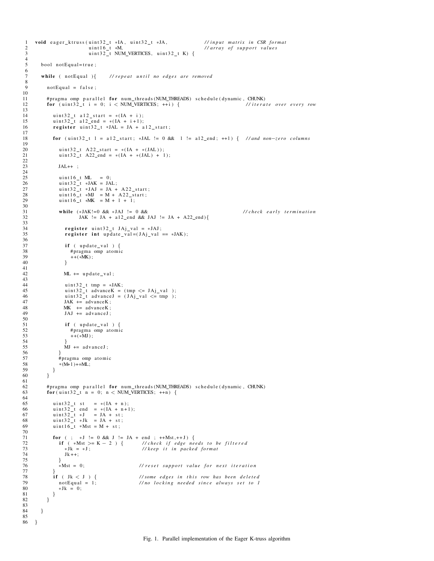```
1 void eager_ktruss(uint32_t *IA, uint32_t *JA, //input matrix in CSR format<br>2 uint16_t *M, //array of support values
2 u int16_t *M,<br>3 u int32 t NUM VERTICES, u int32 t K) {
                              uint 32_t NUM_VERTICES, uint 32_t K) {
        bool notEqual=true;
        while ( not Equal ){ // repeat until no edges are removed
           not Equal = false;# pragma omp p a r all el for num_threads (NUM_THREADS) s chedule (dynamic, CHUNK)<br>12 for (uint 32_t i = 0; i < NUM_VERTICES; ++i) { //iterate over every row
           for (uint32_t i = 0; i < NUM\_VERTICES; ++i) {
14 uint32_t a 12_start = *(IA + i);<br>15 uint32_t a 12_end = *(IA + i + 1);
15 uint 32_t a 12_{end} = *([A + i + 1);<br>16 register uint 32 + 3AL = JA + aregister uint32_t *JAL = JA + a12_start;for (uint32_t l = a12_start; *JAL != 0 && 1 != a12_end; ++1) { //and non-zero columns
20 uint 32_t A 22_start = *(IA + *(JAL));<br>21 uint 32_t A 22_end = *(IA + *(JAL) + 1)\text{uint32}_{t} A22_end = *(IA + *(JAL) + 1);
                JAL++ ;
25 \text{uint16}_t \text{ ML} = 0;<br>26 \text{uint32}_t * \text{JAK} = \text{JA}26 uint 3 2_t *JAK = JAL;<br>27 uint 3 2_t *JAJ = JA + A 2 2_start;
28 uint16_t *MJ = M + A22_start;<br>29 uint16_t *MK = M + 1 + 1;
31 while (*JAK!=0 && *JAJ != 0 &&<br>32 JAK != JA + a12_end && JAJ != JA + A22_end){ // check early termination
                          JAK != JA + a12 end && JAJ != JA + A22 end){
34 register uint 32_t JAj_val = *JAJ;<br>35 register int update_val=(JA<sub>1</sub>_val =
                   register int update_val = (JAj_val == *JAK);
\begin{array}{cc} 37 & \text{if } (\text{ update\_val}) \\ 38 & \text{#pragma omp atom} \end{array}38 \text{#pragma } comp \text{ atomic}<br>39 ++(*MK):^{++ (*MK)};
                  ML += update_val;
44 uint 32_t tmp = *JAK;<br>45 uint 32_t advance K = (tmp <= JAj_val);
46 uint 32_t advance J = (JAj_val \leq \text{tmp});<br>47 JAK += advanceK;
47 JAK \leftarrow advanceK;<br>48 MK \leftarrow advanceKMK += advanceK;
JAJ += advance J;
51 if ( update_val ) {<br>52 #pragma omp atomi
52 # pragma omp atomic<br>53 ++(*)M.
                      ++(*MJ) ;
                   MJ += advanceJ;
\begin{array}{c} 56 \\ 57 \end{array} \qquad \qquad \frac{1}{4}57 \qquad # pragma omp atomic<br>58 *(M+1)+=ML;
             * (M+1)+=ML;
59 }
62 # pragma omp p a r all el for num_threads (NUM_THREADS) s chedule (dynamic, CHUNK)<br>63 for (uint32_t n = 0; n < NUM_VERTICES; +n)for (uint32_t n = 0; n < NUM\_VERTICES; ++n) {
65 uint 32_t st = *(IA + n);<br>66 uint 32_t end = *(IA + n+1)66 uint 32-t end = *(IA + n+1);<br>67 uint 32-t *J = JA + st;67 \text{uint32_t} * \text{J} = \text{JA} + \text{st};<br>68 \text{uint32_t} * \text{Jk} = \text{JA} + \text{st};
69 u int16_t *Mst = M + st;71 for (; *J := 0 && J := JA + end; ++Mst,++J) {<br>72 if (*Mst \ge K - 2) { //check if edge need
72 if ( *Mst >= K − 2 ) {// check if edge needs to be filtered<br>73 * X + x J; // keep it in packed format
73 * Jk = * J;<br>
74 Jk + +;<br>
Jk + +;
                   Jk++;75 } } * Mst = 0;
                                                     // reset support value for next iteration
77 \frac{1}{28} if ( Jk < J ) {
78 if ( Jk < J ) { //some edges in this row has been deleted<br>79 notEqual = 1; //no locking needed since always set to 1
79 not Equal = 1; //no locking needed since always set to 1<br>80 * Jk = 0:
             \{3\} * J k = 0;
\begin{array}{cc} 81 \\ 82 \end{array} \qquad \qquad \}84 }
86 }
```

```
\frac{4}{5}\frac{6}{7}8
 \begin{array}{c} 10 \\ 11 \end{array}13
\begin{array}{c} 17 \\ 18 \end{array}\frac{19}{20}\frac{22}{23}rac{24}{25}30<br>3133
36<br>37
40 }
41
43
\frac{50}{51}54 }
60 }
61 6264
70\, 71
82 }
83
85
```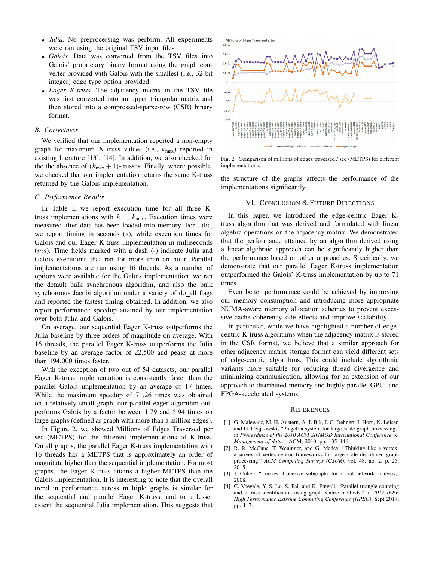- *Julia.* No preprocessing was perform. All experiments were ran using the original TSV input files.
- *Galois.* Data was converted from the TSV files into Galois' proprietary binary format using the graph converter provided with Galois with the smallest (i.e., 32-bit integer) edge type option provided.
- *Eager K-truss.* The adjacency matrix in the TSV file was first converted into an upper triangular matrix and then stored into a compressed-sparse-row (CSR) binary format.

## *B. Correctness*

We verified that our implementation reported a non-empty graph for maximum K-truss values (i.e.,  $k_{\text{max}}$ ) reported in existing literature [13], [14]. In addition, we also checked for the the absence of  $(k_{\text{max}} + 1)$ -trusses. Finally, where possible, we checked that our implementation returns the same K-truss returned by the Galois implementation.

#### *C. Performance Results*

In Table I, we report execution time for all three Ktruss implementations with  $k = k_{\text{max}}$ . Execution times were measured after data has been loaded into memory. For Julia, we report timing in seconds (s), while execution times for Galois and our Eager K-truss implementation in milliseconds (ms). Time fields marked with a dash (-) indicate Julia and Galois executions that ran for more than an hour. Parallel implementations are run using 16 threads. As a number of options were available for the Galois implementation, we ran the default bulk synchronous algorithm, and also the bulk synchoronus Jacobi algorithm under a variety of do all flags and reported the fastest timing obtained. In addition, we also report performance speedup attained by our implementation over both Julia and Galois.

On average, our sequential Eager K-truss outperforms the Julia baseline by three orders of magnitude on average. With 16 threads, the parallel Eager K-truss outperforms the Julia baseline by an average factor of 22,500 and peaks at more than 194,000 times faster.

With the exception of two out of 54 datasets, our parallel Eager K-truss implementation is consistently faster than the parallel Galois implementation by an average of 17 times. While the maximum speedup of 71.26 times was obtained on a relatively small graph, our parallel eager algorithm outperforms Galois by a factor between 1.79 and 5.94 times on large graphs (defined as graph with more than a million edges).

In Figure 2, we showed Millions of Edges Traversed per sec (METPS) for the different implementations of K-truss. On all graphs, the parallel Eager K-truss implementation with 16 threads has a METPS that is approximately an order of magnitute higher than the sequential implementation. For most graphs, the Eager K-truss attains a higher METPS than the Galois implementation. It is interesting to note that the overall trend in performance across multiple graphs is similar for the sequential and parallel Eager K-truss, and to a lesser extent the sequential Julia implementation. This suggests that



Fig. 2. Comparison of millions of edges traversed / sec (METPS) for different implementations.

the structure of the graphs affects the performance of the implementations significantly.

# VI. CONCLUSION & FUTURE DIRECTIONS

In this paper, we introduced the edge-centric Eager Ktruss algorithm that was derived and formulated with linear algebra operations on the adjacency matrix. We demonstrated that the performance attained by an algorithm derived using a linear algebraic approach can be significantly higher than the performance based on other approaches. Specifically, we demonstrate that our parallel Eager K-truss implementation outperformed the Galois' K-truss implementation by up to 71 times.

Even better performance could be achieved by improving our memory consumption and introducing more appropriate NUMA-aware memory allocation schemes to prevent excessive cache coherency side effects and improve scalability.

In particular, while we have highlighted a number of edgecentric K-truss algorithms when the adjacency matrix is stored in the CSR format, we believe that a similar approach for other adjacency matrix storage format can yield different sets of edge-centric algorithms. This could include algorithmic variants more suitable for reducing thread divergence and minimizing communication, allowing for an extension of our approach to distributed-memory and highly parallel GPU- and FPGA-accelerated systems.

#### **REFERENCES**

- [1] G. Malewicz, M. H. Austern, A. J. Bik, J. C. Dehnert, I. Horn, N. Leiser, and G. Czajkowski, "Pregel: a system for large-scale graph processing," in *Proceedings of the 2010 ACM SIGMOD International Conference on Management of data*. ACM, 2010, pp. 135–146.
- [2] R. R. McCune, T. Weninger, and G. Madey, "Thinking like a vertex: a survey of vertex-centric frameworks for large-scale distributed graph processing," *ACM Computing Surveys (CSUR)*, vol. 48, no. 2, p. 25, 2015.
- [3] J. Cohen, "Trusses: Cohesive subgraphs for social network analysis," 2008.
- [4] C. Voegele, Y. S. Lu, S. Pai, and K. Pingali, "Parallel triangle counting and k-truss identification using graph-centric methods," in *2017 IEEE High Performance Extreme Computing Conference (HPEC)*, Sept 2017, pp. 1–7.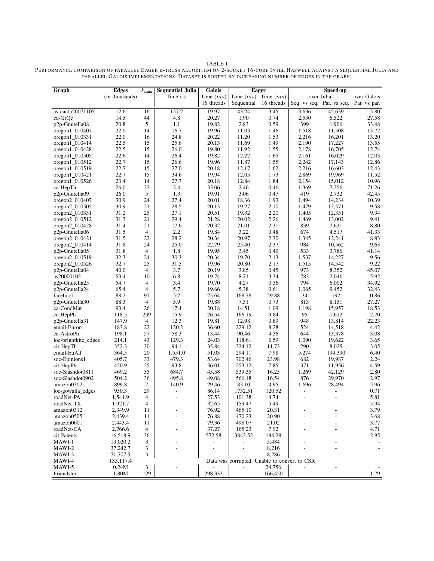TABLE I

| Graph                    | <b>Edges</b>          | $k_{\rm max}$  | <b>Sequential Julia</b> | <b>Galois</b>            | <b>Eager</b>             |                                                       | Speed-up       |                           |                          |
|--------------------------|-----------------------|----------------|-------------------------|--------------------------|--------------------------|-------------------------------------------------------|----------------|---------------------------|--------------------------|
|                          | (in thousands)        |                | Time $(s)$              | Time $(ms)$              |                          | Time $(ms)$ Time $(ms)$                               |                | over Julia                | over Galois              |
|                          |                       |                |                         | 16 threads               | Sequential               | 16 threads                                            |                | Seq. vs seq. Par. vs seq. | Par. vs par.             |
| as-caida20071105         | 12.6                  | 16             | 157.2                   | 19.97                    | 43.24                    | 3.45                                                  | 3,636          | 45,639                    | 5.80                     |
| ca-GrQc                  | 14.5                  | 44             | 4.8                     | 20.27                    | 1.90                     | 0.74                                                  | 2,530          | 6,522                     | 27.58                    |
| p2p-Gnutella08           | 20.8                  | 5              | 1.1                     | 19.82                    | 2.83                     | 0.59                                                  | 399            | 1,906                     | 33.48                    |
| oregon1_010407           | 22.0                  | 14             | 16.7                    | 19.96                    | 11.03                    | 1.46                                                  | 1,518          | 11,508                    | 13.72                    |
| $oregon1_010331$         | 22.0                  | 16             | 24.8                    | 20.22                    | 11.20                    | 1.53                                                  | 2,216          | 16,201                    | 13.20                    |
| oregon1_010414           | 22.5                  | 15             | 25.6                    | 20.13                    | 11.69                    | 1.49                                                  | 2,190          | 17,227                    | 13.55                    |
| $oregon1_010428$         | 22.5                  | 15             | 26.0                    | 19.80                    | 11.92                    | 1.55                                                  | 2,178          | 16,705                    | 12.74                    |
| $oregon1_010505$         | 22.6                  | 14             | 26.4                    | 19.82                    | 12.22                    | 1.65                                                  | 2,161          | 16,029                    | 12.03                    |
| $oregon1_010512$         | 22.7                  | 15             | 26.6                    | 19.96                    | 11.87                    | 1.55                                                  | 2,242          | 17,143                    | 12.86                    |
| $oregon1_010519$         | 22.7                  | 15             | 27.0                    | 20.18                    | 12.17                    | 1.62                                                  | 2,216          | 16.603                    | 12.43                    |
| $oregon1_010421$         | 22.7                  | 15             | 34.6                    | 19.94                    | 12.05                    | 1.73                                                  | 2,869          | 19.969                    | 11.52                    |
| oregon1 010526           | 23.4                  | 14             | 27.7                    | 20.18                    | 12.84                    | 1.84                                                  | 2,154          | 15,012                    | 10.96                    |
| ca-HepTh                 | 26.0                  | 32             | 3.4                     | 33.06                    | 2.46                     | 0.46                                                  | 1,369          | 7.256                     | 71.26                    |
| p2p-Gnutella09           | 26.0                  | $\sqrt{5}$     | 1.3                     | 19.91                    | 3.06                     | 0.47                                                  | 419            | 2,732                     | 42.45                    |
| oregon $2$ 010407        | 30.9                  | 24             | 27.4                    | 20.01                    | 18.36                    | 1.93                                                  | 1,494          | 14,234                    | 10.39                    |
| $oregon2$ 010505         | 30.9                  | 21             | 28.5                    | 20.13                    | 19.27                    | 2.10                                                  | 1,479          | 13,571                    | 9.58                     |
| $oregon2$ 010331         | 31.2                  | 25             | 27.1                    | 20.51                    | 19.32                    | 2.20                                                  | 1,405          | 12,351                    | 9.34                     |
| $oregon2_010512$         | 31.3                  | 21             | 29.4                    | 21.28                    | 20.02                    | 2.26                                                  | 1,469          | 13,002                    | 9.41                     |
| $oregon2_010428$         | 31.4                  | 21             | 17.6                    | 20.32                    | 21.01                    | 2.31                                                  | 839            | 7,631                     | 8.80                     |
| p2p-Gnutella06           | 31.5                  | $\overline{4}$ | 2.2                     | 19.84                    | 3.22                     | 0.48                                                  | 674            | 4,517                     | 41.33                    |
| $oregon2_010421$         | 31.5                  | 22             | 28.2                    | 20.34                    | 20.97                    | 2.30                                                  | 1,345          | 12,241                    | 8.83                     |
| oregon2_010414           | 31.8                  | 24             | 25.0                    | 22.79                    | 25.40                    | 2.37                                                  | 984            | 10,562                    | 9.63                     |
| p2p-Gnutella05           | 31.8                  | $\overline{4}$ | 1.8                     | 19.95                    | 3.45                     | 0.49                                                  | 533            | 3,786                     | 41.14                    |
| oregon2_010519           | 32.3                  | 24             | 30.3                    | 20.34                    | 19.70                    | 2.13                                                  | 1,537          | 14,227                    | 9.56                     |
| oregon2_010526           | 32.7                  | 25             | 31.5                    | 19.96                    | 20.80                    | 2.17                                                  | 1,515          | 14,542                    | 9.22                     |
| p2p-Gnutella04           | 40.0                  | $\overline{4}$ | 3.7                     | 20.19                    | 3.85                     | 0.45                                                  | 973            | 8,352                     | 45.07                    |
| as20000102               | 53.4                  | 10             | 6.8                     | 19.74                    | 8.71                     | 3.34                                                  | 783            | 2,046                     | 5.92                     |
| p2p-Gnutella25           | 54.7                  | $\overline{4}$ | 3.4                     | 19.70                    | 4.27                     | 0.56                                                  | 794            | 6,002                     | 34.92                    |
| p2p-Gnutella24           | 65.4                  | $\overline{4}$ | 5.7                     | 19.66                    | 5.38                     | 0.61                                                  | 1,065          | 9,452                     | 32.43                    |
| facebook                 | 88.2                  | 97             | 5.7                     | 25.64                    | 168.78                   | 29.88                                                 | 34             | 192                       | 0.86                     |
| p2p-Gnutella30           | 88.3                  | $\overline{4}$ | 5.9                     | 19.88                    | 7.31                     | 0.73                                                  | 813            | 8,151                     | 27.27                    |
| ca-CondMat               | 93.4                  | 26             | 17.4                    | 20.18                    | 14.51                    | 1.09                                                  | 1,198          | 15,957                    | 18.53                    |
| ca-HepPh                 | 118.5                 | 239            | 15.9                    | 26.54                    | 166.19                   | 9.84                                                  | 95             | 1,612                     | 2.70                     |
| p2p-Gnutella31           | 147.9                 | $\overline{4}$ | 12.3                    | 19.81                    | 12.98                    | 0.89                                                  | 948            | 13,814                    | 22.23                    |
| email-Enron              | 183.8                 | 22             | 120.2                   | 36.60                    | 229.12                   | 8.28                                                  | 524            | 14,518                    | 4.42                     |
| ca-AstroPh               | 198.1                 | 57             | 58.3                    | 13.44                    | 90.46                    | 4.36                                                  | 644            | 13,378                    | 3.08                     |
| loc-brightkite_edges     | 214.1                 | 43             | 129.3                   | 24.03                    | 118.61                   | 6.59                                                  | 1,090          | 19,622                    | 3.65                     |
| cit-HepTh                | 352.3                 | 30             | 94.1                    | 35.84                    | 324.12                   | 11.73                                                 | 290            | 8,025                     | 3.05                     |
| email-EuAll              | 364.5                 | 20             | 1,551.0                 | 51.03                    | 294.11                   | 7.98                                                  | 5,274          | 194,390                   | 6.40                     |
| soc-Epinions1            | 405.7                 | 33             | 479.3                   | 53.64                    | 702.46                   | 23.98                                                 | 682            | 19,987                    | 2.24                     |
| cit-HepPh                | 420.9                 | 25             | 93.8                    | 36.01                    | 253.12                   | 7.85                                                  | 371            | 11,956                    | 4.59                     |
| soc-Slashdot0811         | 469.2                 | 35             | 684.7                   | 45.58                    | 539.35                   | 16.25                                                 | 1,269          | 42,129                    | 2.80                     |
| soc-Slashdot0902         | 504.2                 | 36             | 495.8                   | 49.08                    | 566.18                   | 16.54                                                 | 876            | 29,970                    | 2.97                     |
| amazon0302               | 899.8                 | $\tau$         | 140.9                   | 29.46                    | 83.10                    | 4.95                                                  | 1,696          | 28,494                    | 5.96                     |
| loc-gowalla edges        | 950.3                 | 29             | $\blacksquare$          | 86.14                    | 1732.51                  | 120.52                                                | $\frac{1}{2}$  |                           | 0.71                     |
| roadNet-PA               | 1,541.9               | $\overline{4}$ | $\overline{a}$          | 27.53                    | 101.38                   | 4.74                                                  | $\overline{a}$ |                           | 5.81                     |
| roadNet-TX               | 1,921.7               | 4              |                         | 32.65                    | 159.47                   | 5.49                                                  |                |                           | 5.94                     |
| amazon0312               | 2,349.9               | 11             |                         | 76.92                    | 465.10                   | 20.31                                                 |                |                           | 3.79                     |
| amazon0505               | 2,439.4               | 11             |                         | 76.88                    | 470.23<br>498.07         | 20.90<br>21.02                                        |                |                           | 3.68                     |
| amazon0601<br>roadNet-CA | 2,443.4               | 11<br>4        |                         | 79.36                    | 165.23                   |                                                       |                |                           | 3.77                     |
|                          | 2,766.6               |                |                         | 37.27                    |                          | 7.92                                                  |                |                           | 4.71                     |
| cit-Patents              | 16,518.9<br>19,020.2  | 36             |                         | 572.58                   | 3843.52                  | 194.28                                                |                |                           | 2.95                     |
| MAWI-1                   |                       | 3              |                         | $\overline{\phantom{a}}$ | $\overline{\phantom{a}}$ | 5,484                                                 |                |                           | $\overline{\phantom{a}}$ |
| MAWI-2                   | 37,242.7              | 3<br>3         |                         |                          |                          | 8,216                                                 |                |                           |                          |
| MAWI-3<br>MAWI-4         | 71,707.5<br>135,117.4 |                |                         |                          |                          | 8,286<br>Data was corrupted. Unable to convert to CSR |                |                           |                          |
| MAWI-5                   | 0.24M                 | 3              |                         |                          |                          | 24,756                                                |                |                           |                          |
| Friendster               | 1.80M                 | 129            |                         | 298,333                  |                          | 166,450                                               |                |                           | 1.79                     |
|                          |                       |                |                         |                          |                          |                                                       |                |                           |                          |

PERFORMANCE COMPARISON OF PARALLEL EAGER K-TRUSS ALGORITHM ON 2-SOCKET 16-CORE INTEL HASWELL AGAINST A SEQUENTIAL JULIA AND PARALLEL GALOIS IMPLEMENTATIONS. DATASET IS SORTED BY INCREASING NUMBER OF EDGES IN THE GRAPH.